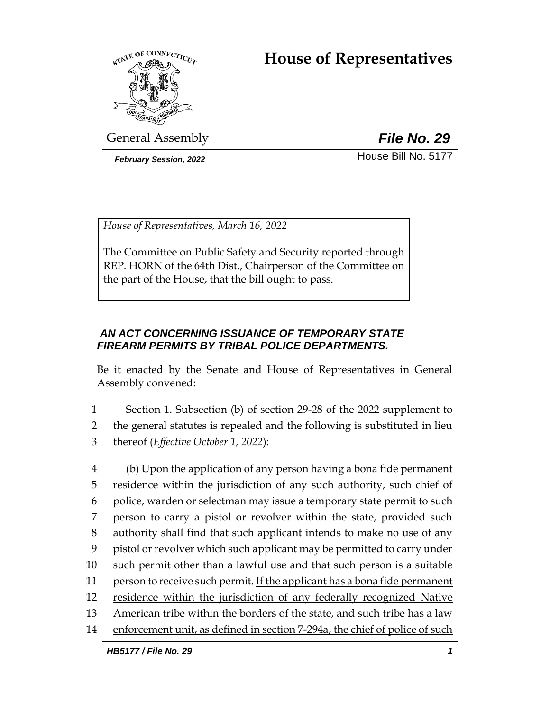# **House of Representatives**



General Assembly *File No. 29*

*February Session, 2022* House Bill No. 5177

*House of Representatives, March 16, 2022*

The Committee on Public Safety and Security reported through REP. HORN of the 64th Dist., Chairperson of the Committee on the part of the House, that the bill ought to pass.

# *AN ACT CONCERNING ISSUANCE OF TEMPORARY STATE FIREARM PERMITS BY TRIBAL POLICE DEPARTMENTS.*

Be it enacted by the Senate and House of Representatives in General Assembly convened:

1 Section 1. Subsection (b) of section 29-28 of the 2022 supplement to 2 the general statutes is repealed and the following is substituted in lieu 3 thereof (*Effective October 1, 2022*):

 (b) Upon the application of any person having a bona fide permanent residence within the jurisdiction of any such authority, such chief of police, warden or selectman may issue a temporary state permit to such person to carry a pistol or revolver within the state, provided such authority shall find that such applicant intends to make no use of any pistol or revolver which such applicant may be permitted to carry under such permit other than a lawful use and that such person is a suitable 11 person to receive such permit. If the applicant has a bona fide permanent residence within the jurisdiction of any federally recognized Native American tribe within the borders of the state, and such tribe has a law enforcement unit, as defined in section 7-294a, the chief of police of such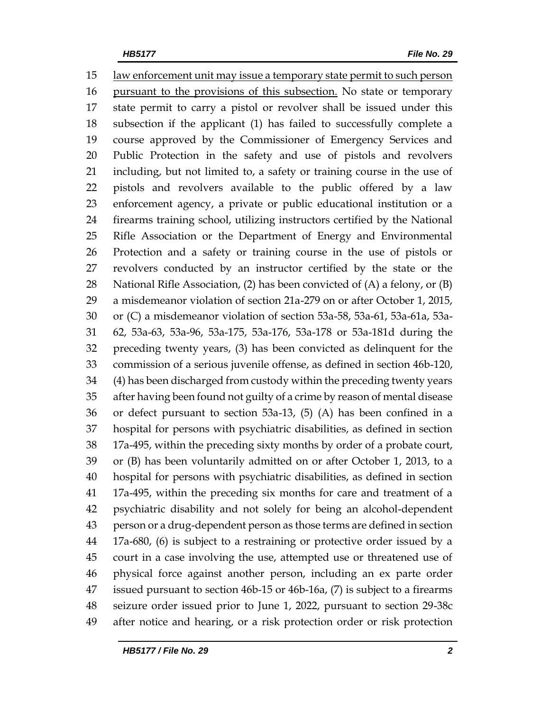law enforcement unit may issue a temporary state permit to such person pursuant to the provisions of this subsection. No state or temporary state permit to carry a pistol or revolver shall be issued under this subsection if the applicant (1) has failed to successfully complete a course approved by the Commissioner of Emergency Services and Public Protection in the safety and use of pistols and revolvers including, but not limited to, a safety or training course in the use of pistols and revolvers available to the public offered by a law enforcement agency, a private or public educational institution or a firearms training school, utilizing instructors certified by the National Rifle Association or the Department of Energy and Environmental Protection and a safety or training course in the use of pistols or revolvers conducted by an instructor certified by the state or the National Rifle Association, (2) has been convicted of (A) a felony, or (B) a misdemeanor violation of section 21a-279 on or after October 1, 2015, or (C) a misdemeanor violation of section 53a-58, 53a-61, 53a-61a, 53a- 62, 53a-63, 53a-96, 53a-175, 53a-176, 53a-178 or 53a-181d during the preceding twenty years, (3) has been convicted as delinquent for the commission of a serious juvenile offense, as defined in section 46b-120, (4) has been discharged from custody within the preceding twenty years after having been found not guilty of a crime by reason of mental disease or defect pursuant to section 53a-13, (5) (A) has been confined in a hospital for persons with psychiatric disabilities, as defined in section 17a-495, within the preceding sixty months by order of a probate court, or (B) has been voluntarily admitted on or after October 1, 2013, to a hospital for persons with psychiatric disabilities, as defined in section 17a-495, within the preceding six months for care and treatment of a psychiatric disability and not solely for being an alcohol-dependent person or a drug-dependent person as those terms are defined in section 17a-680, (6) is subject to a restraining or protective order issued by a court in a case involving the use, attempted use or threatened use of physical force against another person, including an ex parte order issued pursuant to section 46b-15 or 46b-16a, (7) is subject to a firearms seizure order issued prior to June 1, 2022, pursuant to section 29-38c after notice and hearing, or a risk protection order or risk protection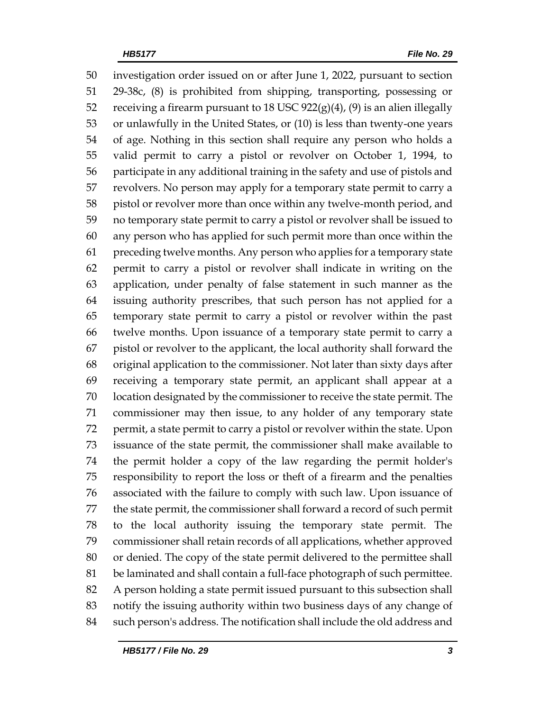investigation order issued on or after June 1, 2022, pursuant to section 29-38c, (8) is prohibited from shipping, transporting, possessing or 52 receiving a firearm pursuant to 18 USC  $922(g)(4)$ ,  $(9)$  is an alien illegally or unlawfully in the United States, or (10) is less than twenty-one years of age. Nothing in this section shall require any person who holds a valid permit to carry a pistol or revolver on October 1, 1994, to participate in any additional training in the safety and use of pistols and revolvers. No person may apply for a temporary state permit to carry a pistol or revolver more than once within any twelve-month period, and no temporary state permit to carry a pistol or revolver shall be issued to any person who has applied for such permit more than once within the preceding twelve months. Any person who applies for a temporary state permit to carry a pistol or revolver shall indicate in writing on the application, under penalty of false statement in such manner as the issuing authority prescribes, that such person has not applied for a temporary state permit to carry a pistol or revolver within the past twelve months. Upon issuance of a temporary state permit to carry a pistol or revolver to the applicant, the local authority shall forward the original application to the commissioner. Not later than sixty days after receiving a temporary state permit, an applicant shall appear at a location designated by the commissioner to receive the state permit. The commissioner may then issue, to any holder of any temporary state permit, a state permit to carry a pistol or revolver within the state. Upon issuance of the state permit, the commissioner shall make available to the permit holder a copy of the law regarding the permit holder's responsibility to report the loss or theft of a firearm and the penalties associated with the failure to comply with such law. Upon issuance of the state permit, the commissioner shall forward a record of such permit to the local authority issuing the temporary state permit. The commissioner shall retain records of all applications, whether approved or denied. The copy of the state permit delivered to the permittee shall be laminated and shall contain a full-face photograph of such permittee. A person holding a state permit issued pursuant to this subsection shall notify the issuing authority within two business days of any change of such person's address. The notification shall include the old address and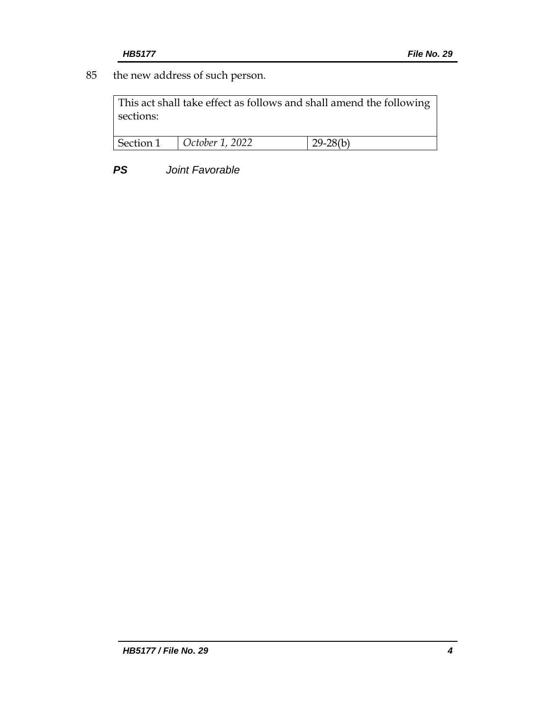85 the new address of such person.

This act shall take effect as follows and shall amend the following sections:

| Section 1 | October 1, 2022 | 20.29(1) |
|-----------|-----------------|----------|
|           |                 |          |

*PS Joint Favorable*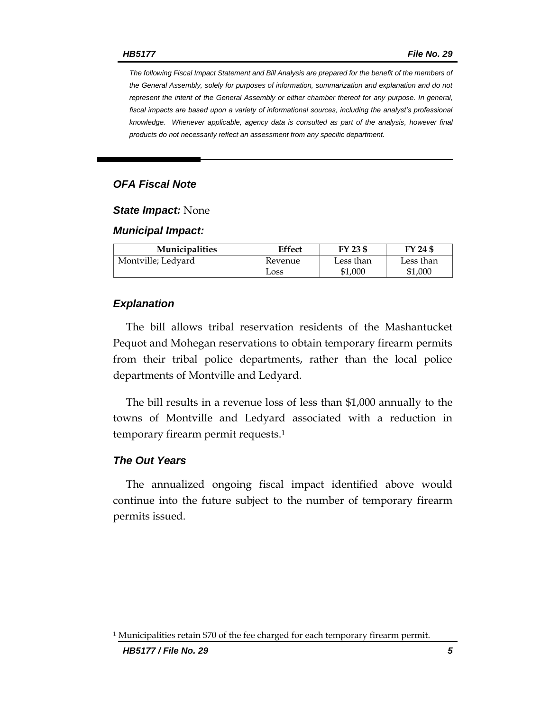*The following Fiscal Impact Statement and Bill Analysis are prepared for the benefit of the members of the General Assembly, solely for purposes of information, summarization and explanation and do not represent the intent of the General Assembly or either chamber thereof for any purpose. In general,*  fiscal impacts are based upon a variety of informational sources, including the analyst's professional *knowledge. Whenever applicable, agency data is consulted as part of the analysis, however final products do not necessarily reflect an assessment from any specific department.*

### *OFA Fiscal Note*

#### *State Impact:* None

#### *Municipal Impact:*

| <b>Municipalities</b> | <b>Effect</b> | FY 23 \$  | FY 24 \$  |
|-----------------------|---------------|-----------|-----------|
| Montville; Ledyard    | Revenue       | Less than | Less than |
|                       | Loss          | \$1,000   | \$1,000   |

#### *Explanation*

The bill allows tribal reservation residents of the Mashantucket Pequot and Mohegan reservations to obtain temporary firearm permits from their tribal police departments, rather than the local police departments of Montville and Ledyard.

The bill results in a revenue loss of less than \$1,000 annually to the towns of Montville and Ledyard associated with a reduction in temporary firearm permit requests.<sup>1</sup>

#### *The Out Years*

The annualized ongoing fiscal impact identified above would continue into the future subject to the number of temporary firearm permits issued.

 $^{\rm 1}$  Municipalities retain \$70 of the fee charged for each temporary firearm permit.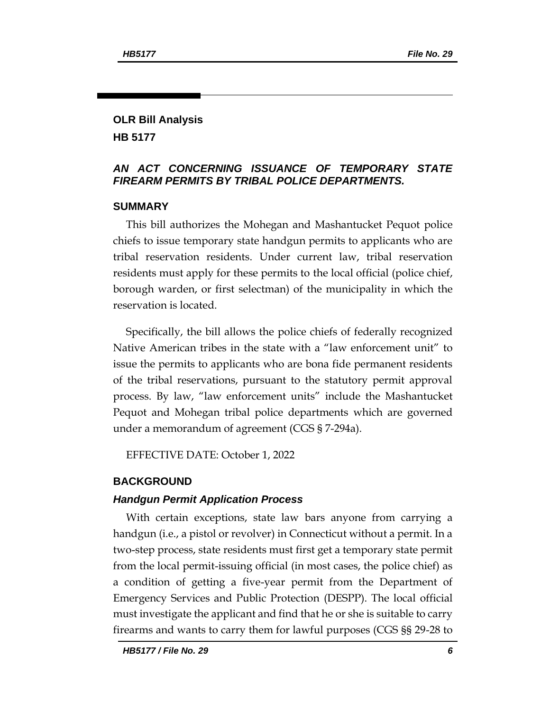#### **OLR Bill Analysis HB 5177**

### *AN ACT CONCERNING ISSUANCE OF TEMPORARY STATE FIREARM PERMITS BY TRIBAL POLICE DEPARTMENTS.*

### **SUMMARY**

This bill authorizes the Mohegan and Mashantucket Pequot police chiefs to issue temporary state handgun permits to applicants who are tribal reservation residents. Under current law, tribal reservation residents must apply for these permits to the local official (police chief, borough warden, or first selectman) of the municipality in which the reservation is located.

Specifically, the bill allows the police chiefs of federally recognized Native American tribes in the state with a "law enforcement unit" to issue the permits to applicants who are bona fide permanent residents of the tribal reservations, pursuant to the statutory permit approval process. By law, "law enforcement units" include the Mashantucket Pequot and Mohegan tribal police departments which are governed under a memorandum of agreement (CGS § 7-294a).

EFFECTIVE DATE: October 1, 2022

#### **BACKGROUND**

#### *Handgun Permit Application Process*

With certain exceptions, state law bars anyone from carrying a handgun (i.e., a pistol or revolver) in Connecticut without a permit. In a two-step process, state residents must first get a temporary state permit from the local permit-issuing official (in most cases, the police chief) as a condition of getting a five-year permit from the Department of Emergency Services and Public Protection (DESPP). The local official must investigate the applicant and find that he or she is suitable to carry firearms and wants to carry them for lawful purposes (CGS §§ 29-28 to